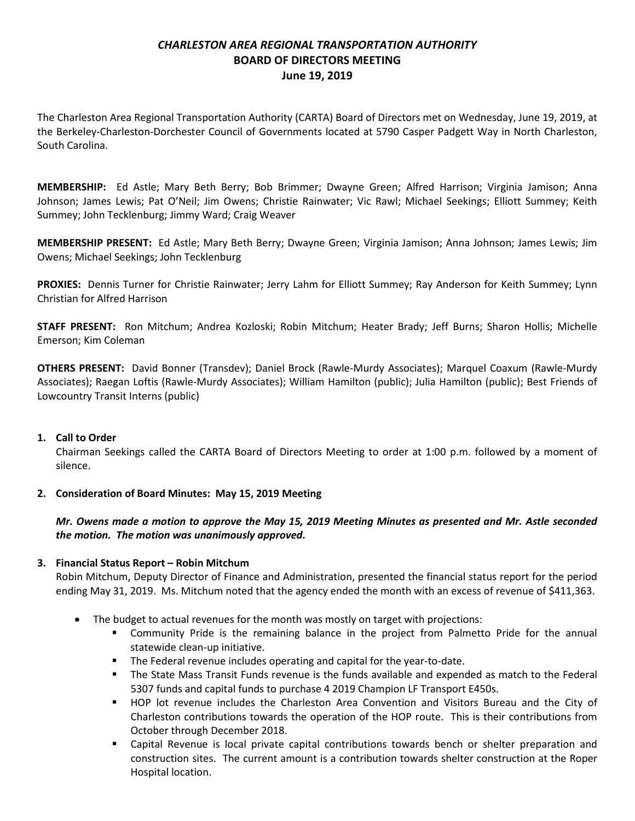# *CHARLESTON AREA REGIONAL TRANSPORTATION AUTHORITY* **BOARD OF DIRECTORS MEETING June 19, 2019**

The Charleston Area Regional Transportation Authority (CARTA) Board of Directors met on Wednesday, June 19, 2019, at the Berkeley-Charleston-Dorchester Council of Governments located at 5790 Casper Padgett Way in North Charleston, South Carolina.

**MEMBERSHIP:** Ed Astle; Mary Beth Berry; Bob Brimmer; Dwayne Green; Alfred Harrison; Virginia Jamison; Anna Johnson; James Lewis; Pat O'Neil; Jim Owens; Christie Rainwater; Vic Rawl; Michael Seekings; Elliott Summey; Keith Summey; John Tecklenburg; Jimmy Ward; Craig Weaver

**MEMBERSHIP PRESENT:** Ed Astle; Mary Beth Berry; Dwayne Green; Virginia Jamison; Anna Johnson; James Lewis; Jim Owens; Michael Seekings; John Tecklenburg

**PROXIES:** Dennis Turner for Christie Rainwater; Jerry Lahm for Elliott Summey; Ray Anderson for Keith Summey; Lynn Christian for Alfred Harrison

**STAFF PRESENT:** Ron Mitchum; Andrea Kozloski; Robin Mitchum; Heater Brady; Jeff Burns; Sharon Hollis; Michelle Emerson; Kim Coleman

**OTHERS PRESENT:** David Bonner (Transdev); Daniel Brock (Rawle-Murdy Associates); Marquel Coaxum (Rawle-Murdy Associates); Raegan Loftis (Rawle-Murdy Associates); William Hamilton (public); Julia Hamilton (public); Best Friends of Lowcountry Transit Interns (public)

#### **1. Call to Order**

Chairman Seekings called the CARTA Board of Directors Meeting to order at 1:00 p.m. followed by a moment of silence.

# **2. Consideration of Board Minutes: May 15, 2019 Meeting**

# *Mr. Owens made a motion to approve the May 15, 2019 Meeting Minutes as presented and Mr. Astle seconded the motion. The motion was unanimously approved.*

# **3. Financial Status Report – Robin Mitchum**

Robin Mitchum, Deputy Director of Finance and Administration, presented the financial status report for the period ending May 31, 2019. Ms. Mitchum noted that the agency ended the month with an excess of revenue of \$411,363.

- The budget to actual revenues for the month was mostly on target with projections:
	- Community Pride is the remaining balance in the project from Palmetto Pride for the annual statewide clean-up initiative.
	- **The Federal revenue includes operating and capital for the year-to-date.**
	- The State Mass Transit Funds revenue is the funds available and expended as match to the Federal 5307 funds and capital funds to purchase 4 2019 Champion LF Transport E450s.
	- HOP lot revenue includes the Charleston Area Convention and Visitors Bureau and the City of Charleston contributions towards the operation of the HOP route. This is their contributions from October through December 2018.
	- Capital Revenue is local private capital contributions towards bench or shelter preparation and construction sites. The current amount is a contribution towards shelter construction at the Roper Hospital location.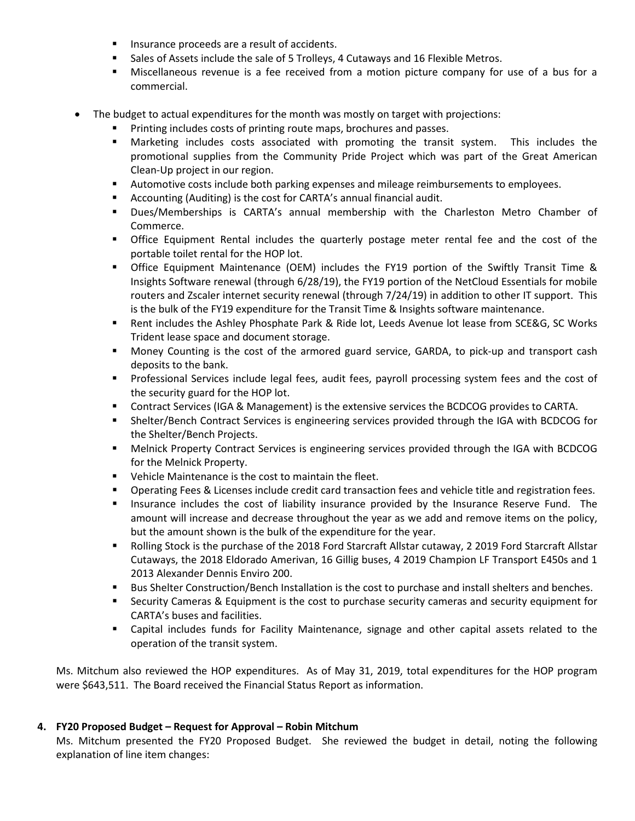- **Insurance proceeds are a result of accidents.**
- **Sales of Assets include the sale of 5 Trolleys, 4 Cutaways and 16 Flexible Metros.**
- Miscellaneous revenue is a fee received from a motion picture company for use of a bus for a commercial.
- The budget to actual expenditures for the month was mostly on target with projections:
	- **Printing includes costs of printing route maps, brochures and passes.**
	- Marketing includes costs associated with promoting the transit system. This includes the promotional supplies from the Community Pride Project which was part of the Great American Clean-Up project in our region.
	- Automotive costs include both parking expenses and mileage reimbursements to employees.
	- Accounting (Auditing) is the cost for CARTA's annual financial audit.
	- Dues/Memberships is CARTA's annual membership with the Charleston Metro Chamber of Commerce.
	- **•** Office Equipment Rental includes the quarterly postage meter rental fee and the cost of the portable toilet rental for the HOP lot.
	- Office Equipment Maintenance (OEM) includes the FY19 portion of the Swiftly Transit Time & Insights Software renewal (through 6/28/19), the FY19 portion of the NetCloud Essentials for mobile routers and Zscaler internet security renewal (through 7/24/19) in addition to other IT support. This is the bulk of the FY19 expenditure for the Transit Time & Insights software maintenance.
	- Rent includes the Ashley Phosphate Park & Ride lot, Leeds Avenue lot lease from SCE&G, SC Works Trident lease space and document storage.
	- Money Counting is the cost of the armored guard service, GARDA, to pick-up and transport cash deposits to the bank.
	- **Professional Services include legal fees, audit fees, payroll processing system fees and the cost of** the security guard for the HOP lot.
	- Contract Services (IGA & Management) is the extensive services the BCDCOG provides to CARTA.
	- Shelter/Bench Contract Services is engineering services provided through the IGA with BCDCOG for the Shelter/Bench Projects.
	- Melnick Property Contract Services is engineering services provided through the IGA with BCDCOG for the Melnick Property.
	- **•** Vehicle Maintenance is the cost to maintain the fleet.
	- **P** Operating Fees & Licenses include credit card transaction fees and vehicle title and registration fees.
	- **Insurance includes the cost of liability insurance provided by the Insurance Reserve Fund. The** amount will increase and decrease throughout the year as we add and remove items on the policy, but the amount shown is the bulk of the expenditure for the year.
	- **Rolling Stock is the purchase of the 2018 Ford Starcraft Allstar cutaway, 2 2019 Ford Starcraft Allstar** Cutaways, the 2018 Eldorado Amerivan, 16 Gillig buses, 4 2019 Champion LF Transport E450s and 1 2013 Alexander Dennis Enviro 200.
	- **Bus Shelter Construction/Bench Installation is the cost to purchase and install shelters and benches.**
	- Security Cameras & Equipment is the cost to purchase security cameras and security equipment for CARTA's buses and facilities.
	- Capital includes funds for Facility Maintenance, signage and other capital assets related to the operation of the transit system.

Ms. Mitchum also reviewed the HOP expenditures. As of May 31, 2019, total expenditures for the HOP program were \$643,511. The Board received the Financial Status Report as information.

# **4. FY20 Proposed Budget – Request for Approval – Robin Mitchum**

Ms. Mitchum presented the FY20 Proposed Budget. She reviewed the budget in detail, noting the following explanation of line item changes: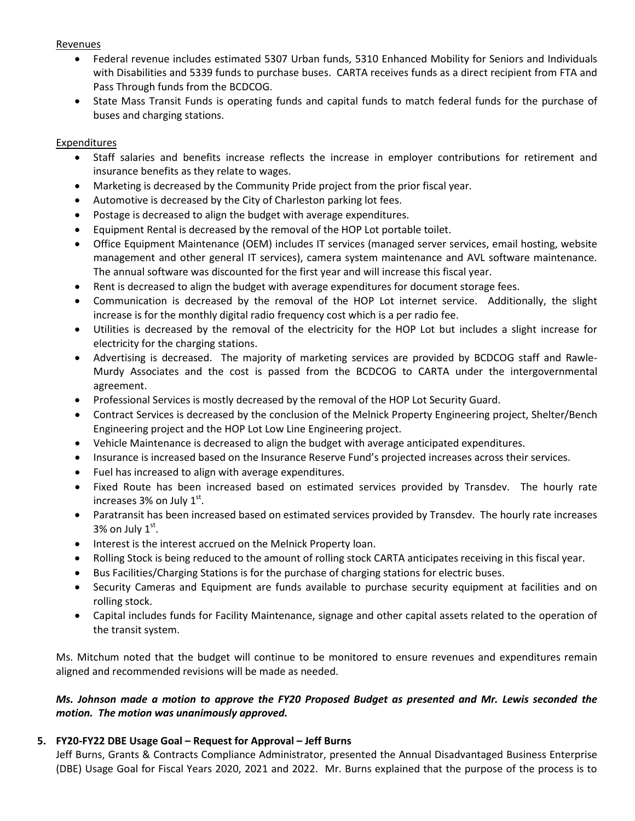#### Revenues

- Federal revenue includes estimated 5307 Urban funds, 5310 Enhanced Mobility for Seniors and Individuals with Disabilities and 5339 funds to purchase buses. CARTA receives funds as a direct recipient from FTA and Pass Through funds from the BCDCOG.
- State Mass Transit Funds is operating funds and capital funds to match federal funds for the purchase of buses and charging stations.

## Expenditures

- Staff salaries and benefits increase reflects the increase in employer contributions for retirement and insurance benefits as they relate to wages.
- Marketing is decreased by the Community Pride project from the prior fiscal year.
- Automotive is decreased by the City of Charleston parking lot fees.
- Postage is decreased to align the budget with average expenditures.
- Equipment Rental is decreased by the removal of the HOP Lot portable toilet.
- Office Equipment Maintenance (OEM) includes IT services (managed server services, email hosting, website management and other general IT services), camera system maintenance and AVL software maintenance. The annual software was discounted for the first year and will increase this fiscal year.
- Rent is decreased to align the budget with average expenditures for document storage fees.
- Communication is decreased by the removal of the HOP Lot internet service. Additionally, the slight increase is for the monthly digital radio frequency cost which is a per radio fee.
- Utilities is decreased by the removal of the electricity for the HOP Lot but includes a slight increase for electricity for the charging stations.
- Advertising is decreased. The majority of marketing services are provided by BCDCOG staff and Rawle-Murdy Associates and the cost is passed from the BCDCOG to CARTA under the intergovernmental agreement.
- Professional Services is mostly decreased by the removal of the HOP Lot Security Guard.
- Contract Services is decreased by the conclusion of the Melnick Property Engineering project, Shelter/Bench Engineering project and the HOP Lot Low Line Engineering project.
- Vehicle Maintenance is decreased to align the budget with average anticipated expenditures.
- Insurance is increased based on the Insurance Reserve Fund's projected increases across their services.
- Fuel has increased to align with average expenditures.
- Fixed Route has been increased based on estimated services provided by Transdev. The hourly rate increases  $3%$  on July  $1<sup>st</sup>$ .
- Paratransit has been increased based on estimated services provided by Transdev. The hourly rate increases 3% on July  $1<sup>st</sup>$ .
- Interest is the interest accrued on the Melnick Property loan.
- Rolling Stock is being reduced to the amount of rolling stock CARTA anticipates receiving in this fiscal year.
- Bus Facilities/Charging Stations is for the purchase of charging stations for electric buses.
- Security Cameras and Equipment are funds available to purchase security equipment at facilities and on rolling stock.
- Capital includes funds for Facility Maintenance, signage and other capital assets related to the operation of the transit system.

Ms. Mitchum noted that the budget will continue to be monitored to ensure revenues and expenditures remain aligned and recommended revisions will be made as needed.

# *Ms. Johnson made a motion to approve the FY20 Proposed Budget as presented and Mr. Lewis seconded the motion. The motion was unanimously approved.*

# **5. FY20-FY22 DBE Usage Goal – Request for Approval – Jeff Burns**

Jeff Burns, Grants & Contracts Compliance Administrator, presented the Annual Disadvantaged Business Enterprise (DBE) Usage Goal for Fiscal Years 2020, 2021 and 2022. Mr. Burns explained that the purpose of the process is to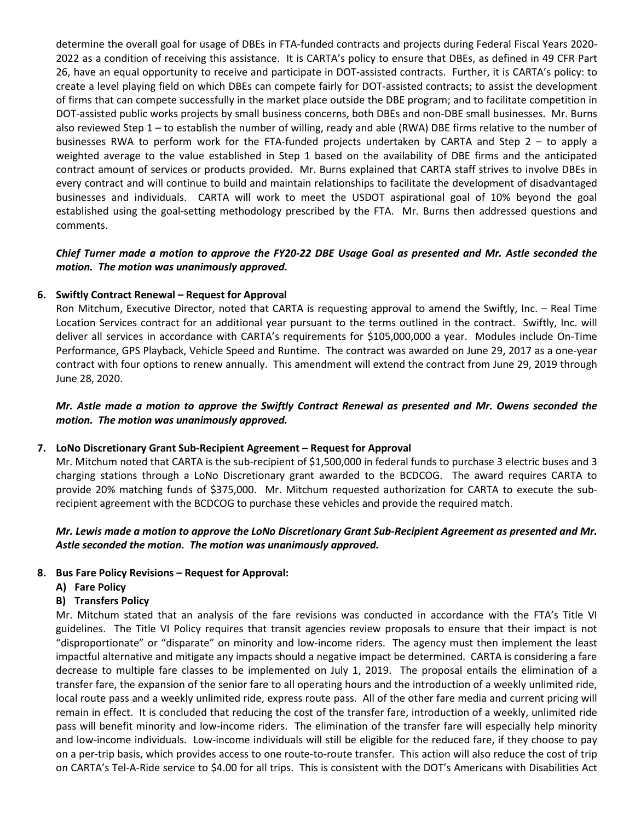determine the overall goal for usage of DBEs in FTA-funded contracts and projects during Federal Fiscal Years 2020- 2022 as a condition of receiving this assistance. It is CARTA's policy to ensure that DBEs, as defined in 49 CFR Part 26, have an equal opportunity to receive and participate in DOT-assisted contracts. Further, it is CARTA's policy: to create a level playing field on which DBEs can compete fairly for DOT-assisted contracts; to assist the development of firms that can compete successfully in the market place outside the DBE program; and to facilitate competition in DOT-assisted public works projects by small business concerns, both DBEs and non-DBE small businesses. Mr. Burns also reviewed Step 1 – to establish the number of willing, ready and able (RWA) DBE firms relative to the number of businesses RWA to perform work for the FTA-funded projects undertaken by CARTA and Step 2 – to apply a weighted average to the value established in Step 1 based on the availability of DBE firms and the anticipated contract amount of services or products provided. Mr. Burns explained that CARTA staff strives to involve DBEs in every contract and will continue to build and maintain relationships to facilitate the development of disadvantaged businesses and individuals. CARTA will work to meet the USDOT aspirational goal of 10% beyond the goal established using the goal-setting methodology prescribed by the FTA. Mr. Burns then addressed questions and comments.

## *Chief Turner made a motion to approve the FY20-22 DBE Usage Goal as presented and Mr. Astle seconded the motion. The motion was unanimously approved.*

## **6. Swiftly Contract Renewal – Request for Approval**

Ron Mitchum, Executive Director, noted that CARTA is requesting approval to amend the Swiftly, Inc. – Real Time Location Services contract for an additional year pursuant to the terms outlined in the contract. Swiftly, Inc. will deliver all services in accordance with CARTA's requirements for \$105,000,000 a year. Modules include On-Time Performance, GPS Playback, Vehicle Speed and Runtime. The contract was awarded on June 29, 2017 as a one-year contract with four options to renew annually. This amendment will extend the contract from June 29, 2019 through June 28, 2020.

## *Mr. Astle made a motion to approve the Swiftly Contract Renewal as presented and Mr. Owens seconded the motion. The motion was unanimously approved.*

#### **7. LoNo Discretionary Grant Sub-Recipient Agreement – Request for Approval**

Mr. Mitchum noted that CARTA is the sub-recipient of \$1,500,000 in federal funds to purchase 3 electric buses and 3 charging stations through a LoNo Discretionary grant awarded to the BCDCOG. The award requires CARTA to provide 20% matching funds of \$375,000. Mr. Mitchum requested authorization for CARTA to execute the subrecipient agreement with the BCDCOG to purchase these vehicles and provide the required match.

## *Mr. Lewis made a motion to approve the LoNo Discretionary Grant Sub-Recipient Agreement as presented and Mr. Astle seconded the motion. The motion was unanimously approved.*

#### **8. Bus Fare Policy Revisions – Request for Approval:**

**A) Fare Policy**

#### **B) Transfers Policy**

Mr. Mitchum stated that an analysis of the fare revisions was conducted in accordance with the FTA's Title VI guidelines. The Title VI Policy requires that transit agencies review proposals to ensure that their impact is not "disproportionate" or "disparate" on minority and low-income riders. The agency must then implement the least impactful alternative and mitigate any impacts should a negative impact be determined. CARTA is considering a fare decrease to multiple fare classes to be implemented on July 1, 2019. The proposal entails the elimination of a transfer fare, the expansion of the senior fare to all operating hours and the introduction of a weekly unlimited ride, local route pass and a weekly unlimited ride, express route pass. All of the other fare media and current pricing will remain in effect. It is concluded that reducing the cost of the transfer fare, introduction of a weekly, unlimited ride pass will benefit minority and low-income riders. The elimination of the transfer fare will especially help minority and low-income individuals. Low-income individuals will still be eligible for the reduced fare, if they choose to pay on a per-trip basis, which provides access to one route-to-route transfer. This action will also reduce the cost of trip on CARTA's Tel-A-Ride service to \$4.00 for all trips. This is consistent with the DOT's Americans with Disabilities Act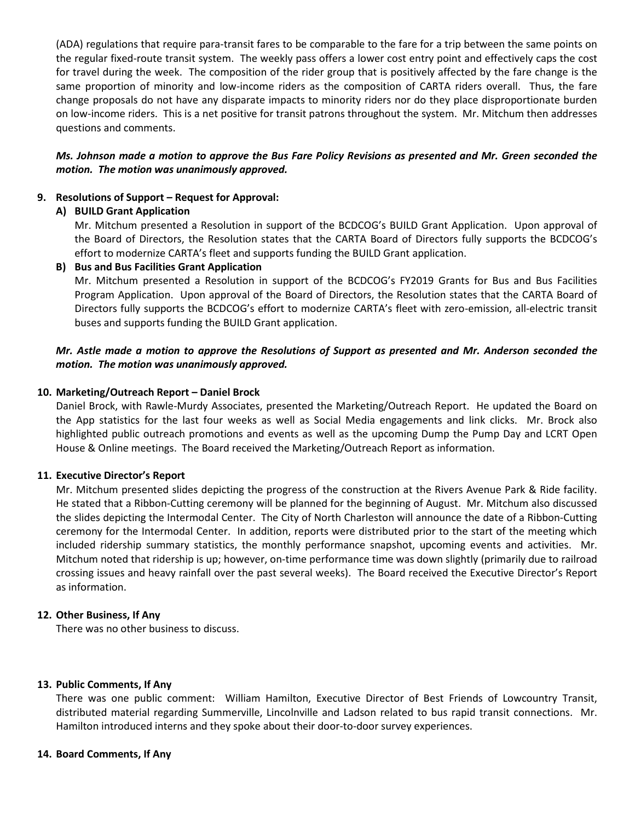(ADA) regulations that require para-transit fares to be comparable to the fare for a trip between the same points on the regular fixed-route transit system. The weekly pass offers a lower cost entry point and effectively caps the cost for travel during the week. The composition of the rider group that is positively affected by the fare change is the same proportion of minority and low-income riders as the composition of CARTA riders overall. Thus, the fare change proposals do not have any disparate impacts to minority riders nor do they place disproportionate burden on low-income riders. This is a net positive for transit patrons throughout the system. Mr. Mitchum then addresses questions and comments.

## *Ms. Johnson made a motion to approve the Bus Fare Policy Revisions as presented and Mr. Green seconded the motion. The motion was unanimously approved.*

#### **9. Resolutions of Support – Request for Approval:**

#### **A) BUILD Grant Application**

Mr. Mitchum presented a Resolution in support of the BCDCOG's BUILD Grant Application. Upon approval of the Board of Directors, the Resolution states that the CARTA Board of Directors fully supports the BCDCOG's effort to modernize CARTA's fleet and supports funding the BUILD Grant application.

#### **B) Bus and Bus Facilities Grant Application**

Mr. Mitchum presented a Resolution in support of the BCDCOG's FY2019 Grants for Bus and Bus Facilities Program Application. Upon approval of the Board of Directors, the Resolution states that the CARTA Board of Directors fully supports the BCDCOG's effort to modernize CARTA's fleet with zero-emission, all-electric transit buses and supports funding the BUILD Grant application.

## *Mr. Astle made a motion to approve the Resolutions of Support as presented and Mr. Anderson seconded the motion. The motion was unanimously approved.*

#### **10. Marketing/Outreach Report – Daniel Brock**

Daniel Brock, with Rawle-Murdy Associates, presented the Marketing/Outreach Report. He updated the Board on the App statistics for the last four weeks as well as Social Media engagements and link clicks. Mr. Brock also highlighted public outreach promotions and events as well as the upcoming Dump the Pump Day and LCRT Open House & Online meetings. The Board received the Marketing/Outreach Report as information.

#### **11. Executive Director's Report**

Mr. Mitchum presented slides depicting the progress of the construction at the Rivers Avenue Park & Ride facility. He stated that a Ribbon-Cutting ceremony will be planned for the beginning of August. Mr. Mitchum also discussed the slides depicting the Intermodal Center. The City of North Charleston will announce the date of a Ribbon-Cutting ceremony for the Intermodal Center. In addition, reports were distributed prior to the start of the meeting which included ridership summary statistics, the monthly performance snapshot, upcoming events and activities. Mr. Mitchum noted that ridership is up; however, on-time performance time was down slightly (primarily due to railroad crossing issues and heavy rainfall over the past several weeks). The Board received the Executive Director's Report as information.

#### **12. Other Business, If Any**

There was no other business to discuss.

#### **13. Public Comments, If Any**

There was one public comment: William Hamilton, Executive Director of Best Friends of Lowcountry Transit, distributed material regarding Summerville, Lincolnville and Ladson related to bus rapid transit connections. Mr. Hamilton introduced interns and they spoke about their door-to-door survey experiences.

#### **14. Board Comments, If Any**